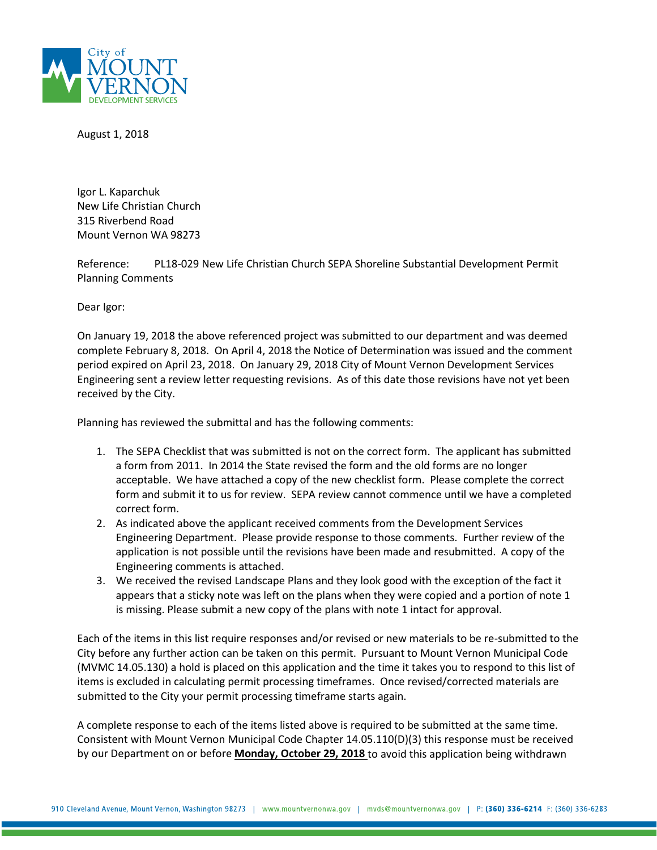

August 1, 2018

Igor L. Kaparchuk New Life Christian Church 315 Riverbend Road Mount Vernon WA 98273

Reference: PL18-029 New Life Christian Church SEPA Shoreline Substantial Development Permit Planning Comments

Dear Igor:

On January 19, 2018 the above referenced project was submitted to our department and was deemed complete February 8, 2018. On April 4, 2018 the Notice of Determination was issued and the comment period expired on April 23, 2018. On January 29, 2018 City of Mount Vernon Development Services Engineering sent a review letter requesting revisions. As of this date those revisions have not yet been received by the City.

Planning has reviewed the submittal and has the following comments:

- 1. The SEPA Checklist that was submitted is not on the correct form. The applicant has submitted a form from 2011. In 2014 the State revised the form and the old forms are no longer acceptable. We have attached a copy of the new checklist form. Please complete the correct form and submit it to us for review. SEPA review cannot commence until we have a completed correct form.
- 2. As indicated above the applicant received comments from the Development Services Engineering Department. Please provide response to those comments. Further review of the application is not possible until the revisions have been made and resubmitted. A copy of the Engineering comments is attached.
- 3. We received the revised Landscape Plans and they look good with the exception of the fact it appears that a sticky note was left on the plans when they were copied and a portion of note 1 is missing. Please submit a new copy of the plans with note 1 intact for approval.

Each of the items in this list require responses and/or revised or new materials to be re-submitted to the City before any further action can be taken on this permit. Pursuant to Mount Vernon Municipal Code (MVMC 14.05.130) a hold is placed on this application and the time it takes you to respond to this list of items is excluded in calculating permit processing timeframes. Once revised/corrected materials are submitted to the City your permit processing timeframe starts again.

A complete response to each of the items listed above is required to be submitted at the same time. Consistent with Mount Vernon Municipal Code Chapter 14.05.110(D)(3) this response must be received by our Department on or before **Monday, October 29, 2018** to avoid this application being withdrawn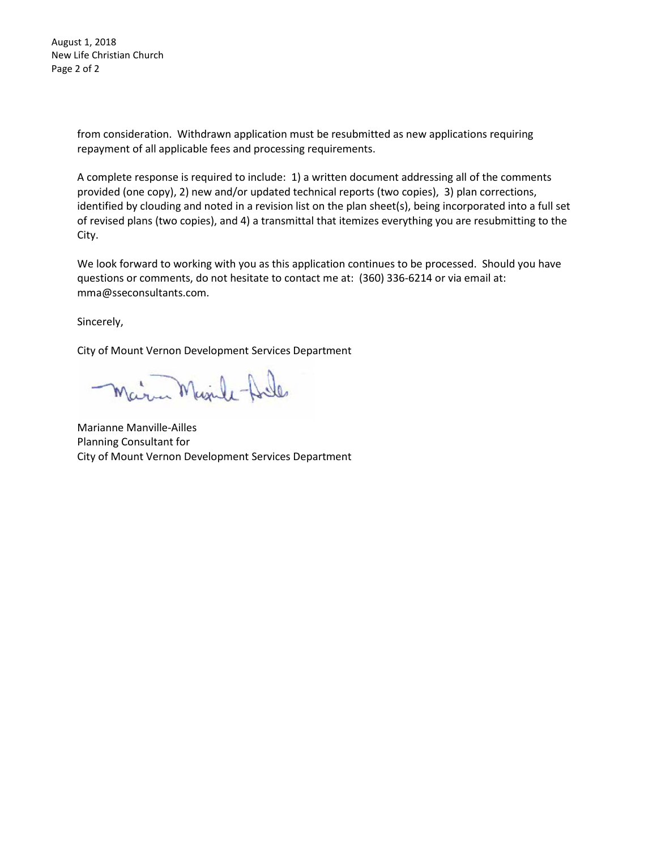August 1, 2018 New Life Christian Church Page 2 of 2

> from consideration. Withdrawn application must be resubmitted as new applications requiring repayment of all applicable fees and processing requirements.

A complete response is required to include: 1) a written document addressing all of the comments provided (one copy), 2) new and/or updated technical reports (two copies), 3) plan corrections, identified by clouding and noted in a revision list on the plan sheet(s), being incorporated into a full set of revised plans (two copies), and 4) a transmittal that itemizes everything you are resubmitting to the City.

We look forward to working with you as this application continues to be processed. Should you have questions or comments, do not hesitate to contact me at: (360) 336-6214 or via email at: mma@sseconsultants.com.

Sincerely,

City of Mount Vernon Development Services Department

Marina Minde-Arde

Marianne Manville-Ailles Planning Consultant for City of Mount Vernon Development Services Department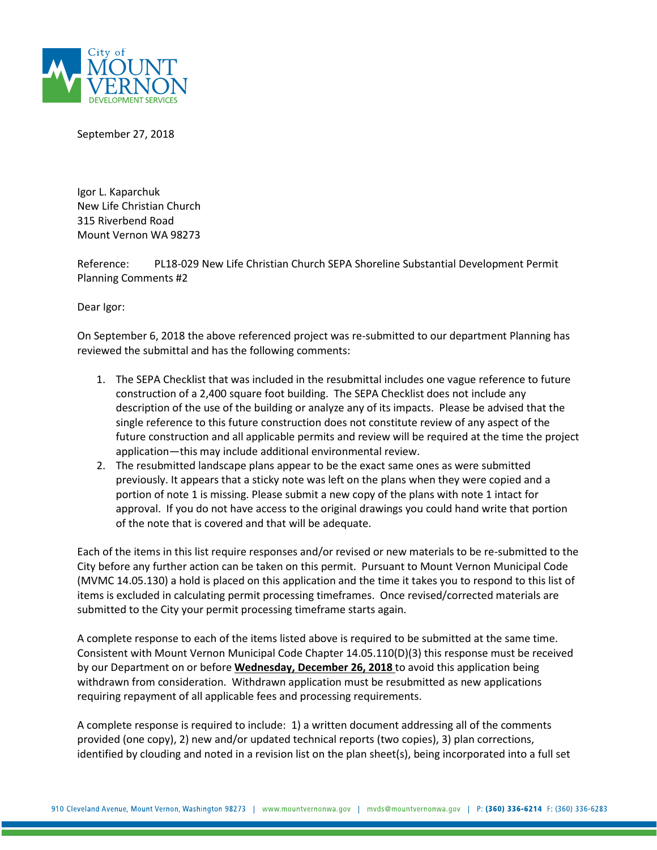

September 27, 2018

Igor L. Kaparchuk New Life Christian Church 315 Riverbend Road Mount Vernon WA 98273

Reference: PL18-029 New Life Christian Church SEPA Shoreline Substantial Development Permit Planning Comments #2

Dear Igor:

On September 6, 2018 the above referenced project was re-submitted to our department Planning has reviewed the submittal and has the following comments:

- 1. The SEPA Checklist that was included in the resubmittal includes one vague reference to future construction of a 2,400 square foot building. The SEPA Checklist does not include any description of the use of the building or analyze any of its impacts. Please be advised that the single reference to this future construction does not constitute review of any aspect of the future construction and all applicable permits and review will be required at the time the project application—this may include additional environmental review.
- 2. The resubmitted landscape plans appear to be the exact same ones as were submitted previously. It appears that a sticky note was left on the plans when they were copied and a portion of note 1 is missing. Please submit a new copy of the plans with note 1 intact for approval. If you do not have access to the original drawings you could hand write that portion of the note that is covered and that will be adequate.

Each of the items in this list require responses and/or revised or new materials to be re-submitted to the City before any further action can be taken on this permit. Pursuant to Mount Vernon Municipal Code (MVMC 14.05.130) a hold is placed on this application and the time it takes you to respond to this list of items is excluded in calculating permit processing timeframes. Once revised/corrected materials are submitted to the City your permit processing timeframe starts again.

A complete response to each of the items listed above is required to be submitted at the same time. Consistent with Mount Vernon Municipal Code Chapter 14.05.110(D)(3) this response must be received by our Department on or before **Wednesday, December 26, 2018** to avoid this application being withdrawn from consideration. Withdrawn application must be resubmitted as new applications requiring repayment of all applicable fees and processing requirements.

A complete response is required to include: 1) a written document addressing all of the comments provided (one copy), 2) new and/or updated technical reports (two copies), 3) plan corrections, identified by clouding and noted in a revision list on the plan sheet(s), being incorporated into a full set